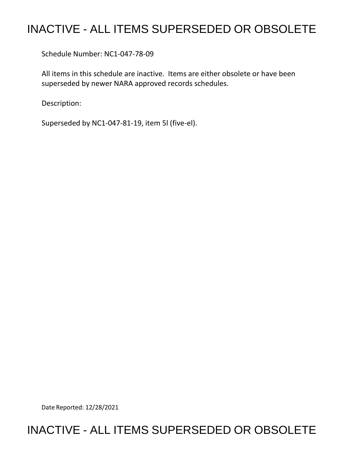## INACTIVE - ALL ITEMS SUPERSEDED OR OBSOLETE

Schedule Number: NC1-047-78-09

All items in this schedule are inactive. Items are either obsolete or have been superseded by newer NARA approved records schedules.

Description:

Superseded by NC1-047-81-19, item 5l (five-el).

Date Reported: 12/28/2021

## INACTIVE - ALL ITEMS SUPERSEDED OR OBSOLETE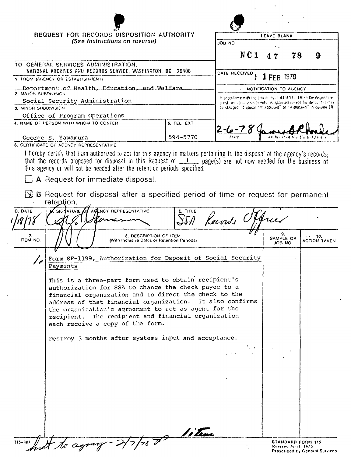| REQUEST FOR RECORDS DISPOSITION AUTHORITY<br>TO GENERAL SERVICES ADMINISTRATION,<br>NATIONAL ARCHIVES AND RECORDS SERVICE, WASHINGTON, DC 20408<br>1. FROM (AGENCY OR ESTABLISHMENT)<br>Department.of.Health, Education, and Welfare<br>2. MAJOR SUPDIVISION<br>Social Security Administration<br>3. MINOR SUBDIVISION<br>Office of Program Operations<br>4. NAME OF PEESON WITH WHOM TO CONFER<br>George S. Yamamura<br>6. CERTIFICATE OF ACENCY REPRESENTATIVE<br>I hereby certify that I am authorized to act for this agency in matters pertaining to the disposal of the agency's records;<br>that the records proposed for disposal in this Request of _______ page(s) are not now needed for the business of<br>this agency or will not be needed after the retention periods specified.<br>A Request for immediate disposal.<br><b>A B</b> Request for disposal after a specified period of time or request for permanent<br>reteption.<br>C. DATE<br>SIGNATURE OF<br>7.<br>ITEM NO. | (See Instructions on reverse)<br>AGENCY REPRESENTATIVE<br>8. DESCRIPTION OF ITEM<br>(With Inclusive Dates or Retention Periods) | 5. TEL EXT<br>594-5770<br>E. TITLE | ON 8OL<br>NC <sub>1</sub><br>DATE RECEIVED<br>In accordance with the provisions of 44 U.S.C. 3303a the disposal re-<br>quest, including algendments, is approved except for items that may<br>be star-ped "disposal not approved" or "withdrawn" in culumn 10.<br>Keconds Officer | LEAVE BLANK<br>78<br>47<br>1 FEB 1978<br>NOTIFICATION TO AGENCY<br>trebivist of the U<br>9. | 9<br>- 10.          |
|----------------------------------------------------------------------------------------------------------------------------------------------------------------------------------------------------------------------------------------------------------------------------------------------------------------------------------------------------------------------------------------------------------------------------------------------------------------------------------------------------------------------------------------------------------------------------------------------------------------------------------------------------------------------------------------------------------------------------------------------------------------------------------------------------------------------------------------------------------------------------------------------------------------------------------------------------------------------------------------------|---------------------------------------------------------------------------------------------------------------------------------|------------------------------------|-----------------------------------------------------------------------------------------------------------------------------------------------------------------------------------------------------------------------------------------------------------------------------------|---------------------------------------------------------------------------------------------|---------------------|
|                                                                                                                                                                                                                                                                                                                                                                                                                                                                                                                                                                                                                                                                                                                                                                                                                                                                                                                                                                                              |                                                                                                                                 |                                    |                                                                                                                                                                                                                                                                                   |                                                                                             |                     |
|                                                                                                                                                                                                                                                                                                                                                                                                                                                                                                                                                                                                                                                                                                                                                                                                                                                                                                                                                                                              |                                                                                                                                 |                                    |                                                                                                                                                                                                                                                                                   |                                                                                             |                     |
|                                                                                                                                                                                                                                                                                                                                                                                                                                                                                                                                                                                                                                                                                                                                                                                                                                                                                                                                                                                              |                                                                                                                                 |                                    |                                                                                                                                                                                                                                                                                   |                                                                                             |                     |
|                                                                                                                                                                                                                                                                                                                                                                                                                                                                                                                                                                                                                                                                                                                                                                                                                                                                                                                                                                                              |                                                                                                                                 |                                    |                                                                                                                                                                                                                                                                                   |                                                                                             |                     |
|                                                                                                                                                                                                                                                                                                                                                                                                                                                                                                                                                                                                                                                                                                                                                                                                                                                                                                                                                                                              |                                                                                                                                 |                                    |                                                                                                                                                                                                                                                                                   |                                                                                             |                     |
|                                                                                                                                                                                                                                                                                                                                                                                                                                                                                                                                                                                                                                                                                                                                                                                                                                                                                                                                                                                              |                                                                                                                                 |                                    |                                                                                                                                                                                                                                                                                   |                                                                                             |                     |
|                                                                                                                                                                                                                                                                                                                                                                                                                                                                                                                                                                                                                                                                                                                                                                                                                                                                                                                                                                                              |                                                                                                                                 |                                    |                                                                                                                                                                                                                                                                                   |                                                                                             |                     |
|                                                                                                                                                                                                                                                                                                                                                                                                                                                                                                                                                                                                                                                                                                                                                                                                                                                                                                                                                                                              |                                                                                                                                 |                                    |                                                                                                                                                                                                                                                                                   |                                                                                             |                     |
|                                                                                                                                                                                                                                                                                                                                                                                                                                                                                                                                                                                                                                                                                                                                                                                                                                                                                                                                                                                              |                                                                                                                                 |                                    |                                                                                                                                                                                                                                                                                   |                                                                                             |                     |
|                                                                                                                                                                                                                                                                                                                                                                                                                                                                                                                                                                                                                                                                                                                                                                                                                                                                                                                                                                                              |                                                                                                                                 |                                    |                                                                                                                                                                                                                                                                                   |                                                                                             |                     |
|                                                                                                                                                                                                                                                                                                                                                                                                                                                                                                                                                                                                                                                                                                                                                                                                                                                                                                                                                                                              |                                                                                                                                 |                                    |                                                                                                                                                                                                                                                                                   | SAMPLE OR<br>JOB NO                                                                         | <b>ACTION TAKEN</b> |
| Form SF-1199, Authorization for Deposit of Social Security<br>Payments                                                                                                                                                                                                                                                                                                                                                                                                                                                                                                                                                                                                                                                                                                                                                                                                                                                                                                                       |                                                                                                                                 |                                    |                                                                                                                                                                                                                                                                                   |                                                                                             |                     |
| This is a three-part form used to obtain recipient's<br>authorization for SSA to change the check payee to a<br>financial organization and to direct the check to the<br>address of that financial organization. It also confirms<br>the organization's agreement to act as agent for the<br>recipient. The recipient and financial organization<br>each receive a copy of the form.                                                                                                                                                                                                                                                                                                                                                                                                                                                                                                                                                                                                         |                                                                                                                                 |                                    |                                                                                                                                                                                                                                                                                   |                                                                                             |                     |
| Destroy 3 months after systems input and acceptance.                                                                                                                                                                                                                                                                                                                                                                                                                                                                                                                                                                                                                                                                                                                                                                                                                                                                                                                                         |                                                                                                                                 |                                    |                                                                                                                                                                                                                                                                                   |                                                                                             |                     |
|                                                                                                                                                                                                                                                                                                                                                                                                                                                                                                                                                                                                                                                                                                                                                                                                                                                                                                                                                                                              |                                                                                                                                 |                                    |                                                                                                                                                                                                                                                                                   |                                                                                             |                     |
|                                                                                                                                                                                                                                                                                                                                                                                                                                                                                                                                                                                                                                                                                                                                                                                                                                                                                                                                                                                              |                                                                                                                                 |                                    |                                                                                                                                                                                                                                                                                   |                                                                                             |                     |
|                                                                                                                                                                                                                                                                                                                                                                                                                                                                                                                                                                                                                                                                                                                                                                                                                                                                                                                                                                                              |                                                                                                                                 |                                    |                                                                                                                                                                                                                                                                                   |                                                                                             |                     |
| 115-107 Lot to agency - 2/7/78 0                                                                                                                                                                                                                                                                                                                                                                                                                                                                                                                                                                                                                                                                                                                                                                                                                                                                                                                                                             |                                                                                                                                 |                                    |                                                                                                                                                                                                                                                                                   |                                                                                             |                     |